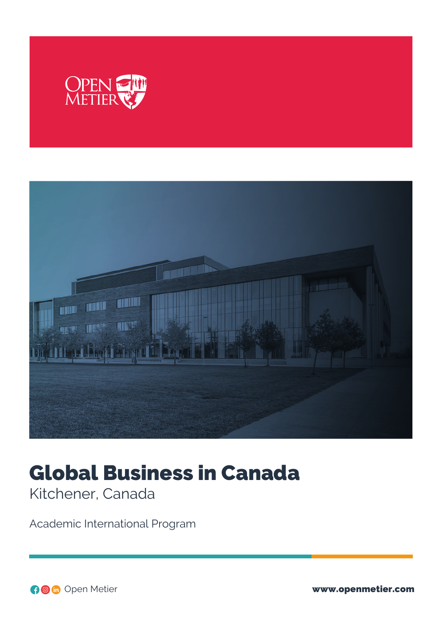



# Global Business in Canada

Kitchener, Canada

Academic International Program

Open Metier www.openmetier.com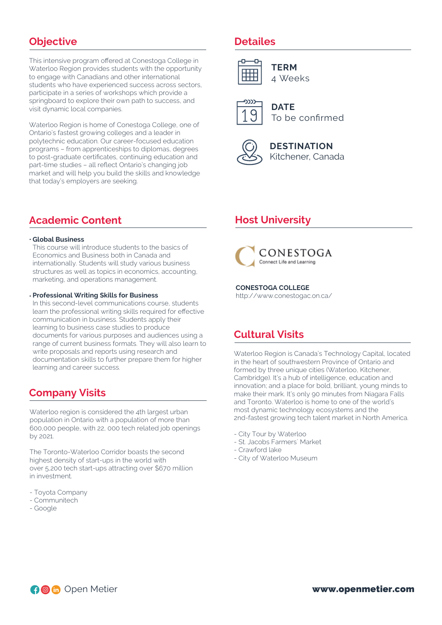## **Objective**

This intensive program offered at Conestoga College in Waterloo Region provides students with the opportunity to engage with Canadians and other international students who have experienced success across sectors, participate in a series of workshops which provide a springboard to explore their own path to success, and visit dynamic local companies.

Waterloo Region is home of Conestoga College, one of Ontario's fastest growing colleges and a leader in polytechnic education. Our career-focused education programs – from apprenticeships to diplomas, degrees to post-graduate certificates, continuing education and part-time studies – all reflect Ontario's changing job market and will help you build the skills and knowledge that today's employers are seeking.

# **Academic Content**

#### **Global Business**

This course will introduce students to the basics of Economics and Business both in Canada and internationally. Students will study various business structures as well as topics in economics, accounting, marketing, and operations management.

#### **Professional Writing Skills for Business**

In this second-level communications course, students learn the professional writing skills required for effective communication in business. Students apply their learning to business case studies to produce documents for various purposes and audiences using a range of current business formats. They will also learn to write proposals and reports using research and documentation skills to further prepare them for higher learning and career success.

## **Company Visits**

Waterloo region is considered the 4th largest urban population in Ontario with a population of more than 600,000 people, with 22, 000 tech related job openings by 2021.

The Toronto-Waterloo Corridor boasts the second highest density of start-ups in the world with over 5,200 tech start-ups attracting over \$670 million in investment.

- Toyota Company
- Communitech
- Google

## **Detailes**



**TERM** 4 Weeks



**DATE** To be confirmed



**DESTINATION** Kitchener, Canada

# **Host University**



**CONESTOGA COLLEGE** http://www.conestogac.on.ca/

# **Cultural Visits**

Waterloo Region is Canada's Technology Capital, located in the heart of southwestern Province of Ontario and formed by three unique cities (Waterloo, Kitchener, Cambridge). It's a hub of intelligence, education and innovation; and a place for bold, brilliant, young minds to make their mark. It's only 90 minutes from Niagara Falls and Toronto. Waterloo is home to one of the world's most dynamic technology ecosystems and the 2nd-fastest growing tech talent market in North America.

- City Tour by Waterloo
- St. Jacobs Farmers´ Market
- Crawford lake
- City of Waterloo Museum